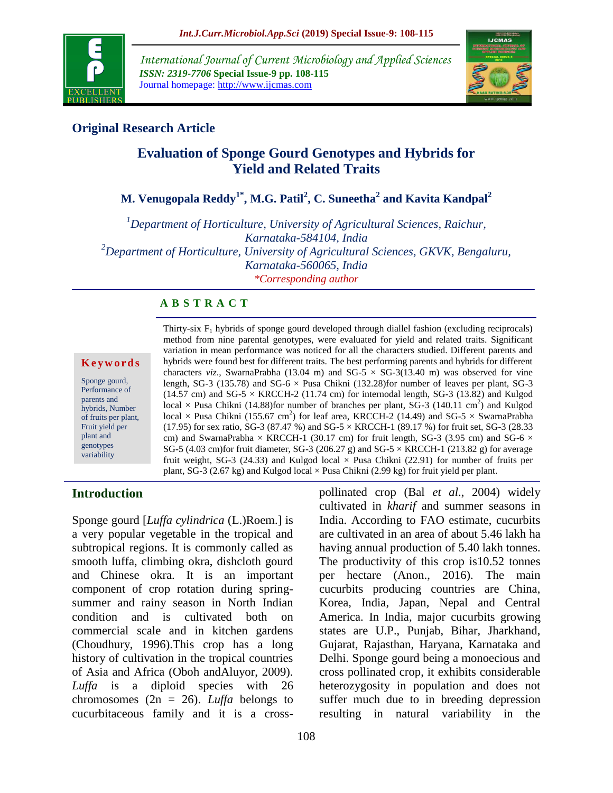

*International Journal of Current Microbiology and Applied Sciences ISSN: 2319-7706* **Special Issue-9 pp. 108-115** Journal homepage: http://www.ijcmas.com



## **Original Research Article**

# **Evaluation of Sponge Gourd Genotypes and Hybrids for Yield and Related Traits**

**M. Venugopala Reddy1\* , M.G. Patil<sup>2</sup> , C. Suneetha<sup>2</sup> and Kavita Kandpal<sup>2</sup>**

*<sup>1</sup>Department of Horticulture, University of Agricultural Sciences, Raichur, Karnataka-584104, India <sup>2</sup>Department of Horticulture, University of Agricultural Sciences, GKVK, Bengaluru, Karnataka-560065, India \*Corresponding author*

### **A B S T R A C T**

#### **K e y w o r d s**

Sponge gourd, Performance of parents and hybrids, Number of fruits per plant, Fruit yield per plant and genotypes variability

Thirty-six  $F_1$  hybrids of sponge gourd developed through diallel fashion (excluding reciprocals) method from nine parental genotypes, were evaluated for yield and related traits. Significant variation in mean performance was noticed for all the characters studied. Different parents and hybrids were found best for different traits. The best performing parents and hybrids for different characters *viz.*, SwarnaPrabha (13.04 m) and SG-5  $\times$  SG-3(13.40 m) was observed for vine length, SG-3 (135.78) and SG-6  $\times$  Pusa Chikni (132.28)for number of leaves per plant, SG-3  $(14.57 \text{ cm})$  and SG-5  $\times$  KRCCH-2  $(11.74 \text{ cm})$  for internodal length, SG-3 (13.82) and Kulgod local  $\times$  Pusa Chikni (14.88)for number of branches per plant, SG-3 (140.11 cm<sup>2</sup>) and Kulgod local  $\times$  Pusa Chikni (155.67 cm<sup>2</sup>) for leaf area, KRCCH-2 (14.49) and SG-5  $\times$  SwarnaPrabha (17.95) for sex ratio, SG-3 (87.47 %) and SG-5  $\times$  KRCCH-1 (89.17 %) for fruit set, SG-3 (28.33 cm) and SwarnaPrabha  $\times$  KRCCH-1 (30.17 cm) for fruit length, SG-3 (3.95 cm) and SG-6  $\times$ SG-5 (4.03 cm)for fruit diameter, SG-3 (206.27 g) and SG-5  $\times$  KRCCH-1 (213.82 g) for average fruit weight, SG-3 (24.33) and Kulgod local  $\times$  Pusa Chikni (22.91) for number of fruits per plant, SG-3 (2.67 kg) and Kulgod local  $\times$  Pusa Chikni (2.99 kg) for fruit yield per plant.

## **Introduction**

Sponge gourd [*Luffa cylindrica* (L.)Roem.] is a very popular vegetable in the tropical and subtropical regions. It is commonly called as smooth luffa, climbing okra, dishcloth gourd and Chinese okra. It is an important component of crop rotation during springsummer and rainy season in North Indian condition and is cultivated both on commercial scale and in kitchen gardens (Choudhury, 1996).This crop has a long history of cultivation in the tropical countries of Asia and Africa (Oboh andAluyor, 2009). *Luffa* is a diploid species with 26 chromosomes  $(2n = 26)$ . *Luffa* belongs to cucurbitaceous family and it is a crosspollinated crop (Bal *et al*., 2004) widely cultivated in *kharif* and summer seasons in India. According to FAO estimate, cucurbits are cultivated in an area of about 5.46 lakh ha having annual production of 5.40 lakh tonnes. The productivity of this crop is10.52 tonnes per hectare (Anon., 2016). The main cucurbits producing countries are China, Korea, India, Japan, Nepal and Central America. In India, major cucurbits growing states are U.P., Punjab, Bihar, Jharkhand, Gujarat, Rajasthan, Haryana, Karnataka and Delhi. Sponge gourd being a monoecious and cross pollinated crop, it exhibits considerable heterozygosity in population and does not suffer much due to in breeding depression resulting in natural variability in the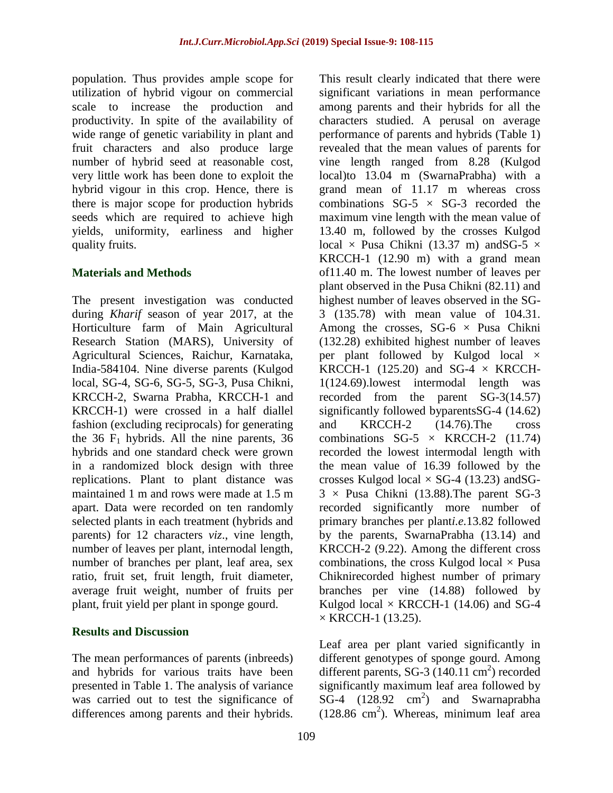population. Thus provides ample scope for utilization of hybrid vigour on commercial scale to increase the production and productivity. In spite of the availability of wide range of genetic variability in plant and fruit characters and also produce large number of hybrid seed at reasonable cost, very little work has been done to exploit the hybrid vigour in this crop. Hence, there is there is major scope for production hybrids seeds which are required to achieve high yields, uniformity, earliness and higher quality fruits.

## **Materials and Methods**

The present investigation was conducted during *Kharif* season of year 2017, at the Horticulture farm of Main Agricultural Research Station (MARS), University of Agricultural Sciences, Raichur, Karnataka, India-584104. Nine diverse parents (Kulgod local, SG-4, SG-6, SG-5, SG-3, Pusa Chikni, KRCCH-2, Swarna Prabha, KRCCH-1 and KRCCH-1) were crossed in a half diallel fashion (excluding reciprocals) for generating the 36  $F_1$  hybrids. All the nine parents, 36 hybrids and one standard check were grown in a randomized block design with three replications. Plant to plant distance was maintained 1 m and rows were made at 1.5 m apart. Data were recorded on ten randomly selected plants in each treatment (hybrids and parents) for 12 characters *viz*., vine length, number of leaves per plant, internodal length, number of branches per plant, leaf area, sex ratio, fruit set, fruit length, fruit diameter, average fruit weight, number of fruits per plant, fruit yield per plant in sponge gourd.

### **Results and Discussion**

The mean performances of parents (inbreeds) and hybrids for various traits have been presented in Table 1. The analysis of variance was carried out to test the significance of differences among parents and their hybrids.

This result clearly indicated that there were significant variations in mean performance among parents and their hybrids for all the characters studied. A perusal on average performance of parents and hybrids (Table 1) revealed that the mean values of parents for vine length ranged from 8.28 (Kulgod local)to 13.04 m (SwarnaPrabha) with a grand mean of 11.17 m whereas cross combinations  $SG-5 \times SG-3$  recorded the maximum vine length with the mean value of 13.40 m, followed by the crosses Kulgod local  $\times$  Pusa Chikni (13.37 m) and SG-5  $\times$ KRCCH-1 (12.90 m) with a grand mean of11.40 m. The lowest number of leaves per plant observed in the Pusa Chikni (82.11) and highest number of leaves observed in the SG-3 (135.78) with mean value of 104.31. Among the crosses,  $SG-6 \times P$ usa Chikni (132.28) exhibited highest number of leaves per plant followed by Kulgod local × KRCCH-1 (125.20) and SG-4  $\times$  KRCCH-1(124.69).lowest intermodal length was recorded from the parent SG-3(14.57) significantly followed byparentsSG-4 (14.62) and KRCCH-2 (14.76).The cross combinations  $SG-5 \times KRCCH-2$  (11.74) recorded the lowest intermodal length with the mean value of 16.39 followed by the crosses Kulgod local  $\times$  SG-4 (13.23) and SG- $3 \times$  Pusa Chikni (13.88). The parent SG-3 recorded significantly more number of primary branches per plant*i.e.*13.82 followed by the parents, SwarnaPrabha (13.14) and KRCCH-2 (9.22). Among the different cross combinations, the cross Kulgod local  $\times$  Pusa Chiknirecorded highest number of primary branches per vine (14.88) followed by Kulgod local  $\times$  KRCCH-1 (14.06) and SG-4  $\times$  KRCCH-1 (13.25).

Leaf area per plant varied significantly in different genotypes of sponge gourd. Among different parents, SG-3 (140.11 cm<sup>2</sup>) recorded significantly maximum leaf area followed by  $SG-4$  (128.92 cm<sup>2</sup>) and Swarnaprabha  $(128.86 \text{ cm}^2)$ . Whereas, minimum leaf area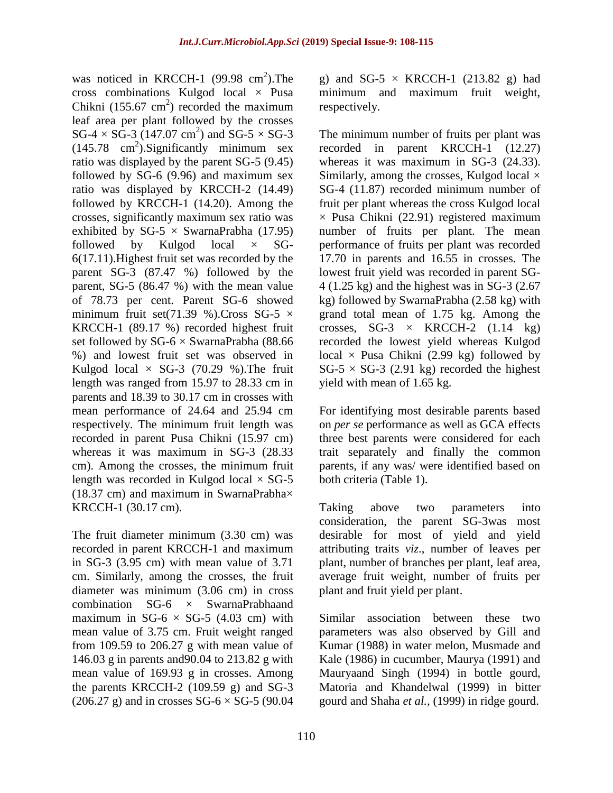was noticed in KRCCH-1  $(99.98 \text{ cm}^2)$ . The cross combinations Kulgod local  $\times$  Pusa Chikni  $(155.67 \text{ cm}^2)$  recorded the maximum leaf area per plant followed by the crosses  $SG-4 \times SG-3$  (147.07 cm<sup>2</sup>) and  $SG-5 \times SG-3$  $(145.78 \text{ cm}^2)$ . Significantly minimum sex ratio was displayed by the parent SG-5 (9.45) followed by SG-6 (9.96) and maximum sex ratio was displayed by KRCCH-2 (14.49) followed by KRCCH-1 (14.20). Among the crosses, significantly maximum sex ratio was exhibited by  $SG-5 \times \text{SwarnaPrabha}$  (17.95) followed by Kulgod local  $\times$  SG-6(17.11).Highest fruit set was recorded by the parent SG-3 (87.47 %) followed by the parent, SG-5 (86.47 %) with the mean value of 78.73 per cent. Parent SG-6 showed minimum fruit set(71.39 %).Cross SG-5  $\times$ KRCCH-1 (89.17 %) recorded highest fruit set followed by  $SG-6 \times SwarnaPrabha$  (88.66 %) and lowest fruit set was observed in Kulgod local  $\times$  SG-3 (70.29 %). The fruit length was ranged from 15.97 to 28.33 cm in parents and 18.39 to 30.17 cm in crosses with mean performance of 24.64 and 25.94 cm respectively. The minimum fruit length was recorded in parent Pusa Chikni (15.97 cm) whereas it was maximum in SG-3 (28.33 cm). Among the crosses, the minimum fruit length was recorded in Kulgod local  $\times$  SG-5 (18.37 cm) and maximum in SwarnaPrabha× KRCCH-1 (30.17 cm).

The fruit diameter minimum (3.30 cm) was recorded in parent KRCCH-1 and maximum in SG-3 (3.95 cm) with mean value of 3.71 cm. Similarly, among the crosses, the fruit diameter was minimum (3.06 cm) in cross combination  $SG-6 \times SwarnaPrabha$ maximum in SG-6  $\times$  SG-5 (4.03 cm) with mean value of 3.75 cm. Fruit weight ranged from 109.59 to 206.27 g with mean value of 146.03 g in parents and90.04 to 213.82 g with mean value of 169.93 g in crosses. Among the parents KRCCH-2 (109.59 g) and SG-3  $(206.27 \text{ g})$  and in crosses SG-6  $\times$  SG-5 (90.04)

g) and SG-5  $\times$  KRCCH-1 (213.82 g) had minimum and maximum fruit weight, respectively.

The minimum number of fruits per plant was recorded in parent KRCCH-1 (12.27) whereas it was maximum in SG-3 (24.33). Similarly, among the crosses, Kulgod local  $\times$ SG-4 (11.87) recorded minimum number of fruit per plant whereas the cross Kulgod local  $\times$  Pusa Chikni (22.91) registered maximum number of fruits per plant. The mean performance of fruits per plant was recorded 17.70 in parents and 16.55 in crosses. The lowest fruit yield was recorded in parent SG-4 (1.25 kg) and the highest was in SG-3 (2.67 kg) followed by SwarnaPrabha (2.58 kg) with grand total mean of 1.75 kg. Among the crosses,  $SG-3 \times KRCCH-2$  (1.14 kg) recorded the lowest yield whereas Kulgod local  $\times$  Pusa Chikni (2.99 kg) followed by  $SG-5 \times SG-3$  (2.91 kg) recorded the highest yield with mean of 1.65 kg.

For identifying most desirable parents based on *per se* performance as well as GCA effects three best parents were considered for each trait separately and finally the common parents, if any was/ were identified based on both criteria (Table 1).

Taking above two parameters into consideration, the parent SG-3was most desirable for most of yield and yield attributing traits *viz*., number of leaves per plant, number of branches per plant, leaf area, average fruit weight, number of fruits per plant and fruit yield per plant.

Similar association between these two parameters was also observed by Gill and Kumar (1988) in water melon, Musmade and Kale (1986) in cucumber, Maurya (1991) and Mauryaand Singh (1994) in bottle gourd, Matoria and Khandelwal (1999) in bitter gourd and Shaha *et al.,* (1999) in ridge gourd.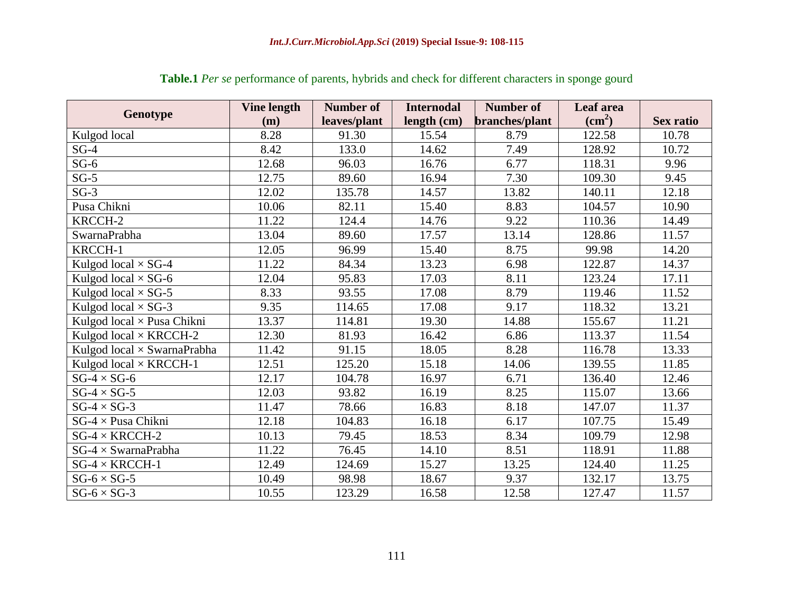|                               | <b>Vine length</b> | <b>Number of</b> | <b>Internodal</b> | <b>Number of</b> | Leaf area       |                  |
|-------------------------------|--------------------|------------------|-------------------|------------------|-----------------|------------------|
| <b>Genotype</b>               | (m)                | leaves/plant     | length (cm)       | branches/plant   | $\text{cm}^2$ ) | <b>Sex ratio</b> |
| Kulgod local                  | 8.28               | 91.30            | 15.54             | 8.79             | 122.58          | 10.78            |
| $SG-4$                        | 8.42               | 133.0            | 14.62             | 7.49             | 128.92          | 10.72            |
| $SG-6$                        | 12.68              | 96.03            | 16.76             | 6.77             | 118.31          | 9.96             |
| $SG-5$                        | 12.75              | 89.60            | 16.94             | 7.30             | 109.30          | 9.45             |
| $SG-3$                        | 12.02              | 135.78           | 14.57             | 13.82            | 140.11          | 12.18            |
| Pusa Chikni                   | 10.06              | 82.11            | 15.40             | 8.83             | 104.57          | 10.90            |
| KRCCH-2                       | 11.22              | 124.4            | 14.76             | 9.22             | 110.36          | 14.49            |
| SwarnaPrabha                  | 13.04              | 89.60            | 17.57             | 13.14            | 128.86          | 11.57            |
| KRCCH-1                       | 12.05              | 96.99            | 15.40             | 8.75             | 99.98           | 14.20            |
| Kulgod local $\times$ SG-4    | 11.22              | 84.34            | 13.23             | 6.98             | 122.87          | 14.37            |
| Kulgod local $\times$ SG-6    | 12.04              | 95.83            | 17.03             | 8.11             | 123.24          | 17.11            |
| Kulgod local $\times$ SG-5    | 8.33               | 93.55            | 17.08             | 8.79             | 119.46          | 11.52            |
| Kulgod local $\times$ SG-3    | 9.35               | 114.65           | 17.08             | 9.17             | 118.32          | 13.21            |
| Kulgod local × Pusa Chikni    | 13.37              | 114.81           | 19.30             | 14.88            | 155.67          | 11.21            |
| Kulgod local $\times$ KRCCH-2 | 12.30              | 81.93            | 16.42             | 6.86             | 113.37          | 11.54            |
| Kulgod local × SwarnaPrabha   | 11.42              | 91.15            | 18.05             | 8.28             | 116.78          | 13.33            |
| Kulgod local $\times$ KRCCH-1 | 12.51              | 125.20           | 15.18             | 14.06            | 139.55          | 11.85            |
| $SG-4 \times SG-6$            | 12.17              | 104.78           | 16.97             | 6.71             | 136.40          | 12.46            |
| $SG-4 \times SG-5$            | 12.03              | 93.82            | 16.19             | 8.25             | 115.07          | 13.66            |
| $SG-4 \times SG-3$            | 11.47              | 78.66            | 16.83             | 8.18             | 147.07          | 11.37            |
| SG-4 × Pusa Chikni            | 12.18              | 104.83           | 16.18             | 6.17             | 107.75          | 15.49            |
| $SG-4 \times KRCCH-2$         | 10.13              | 79.45            | 18.53             | 8.34             | 109.79          | 12.98            |
| $SG-4 \times SwarnaPrabha$    | 11.22              | 76.45            | 14.10             | 8.51             | 118.91          | 11.88            |
| $SG-4 \times KRCCH-1$         | 12.49              | 124.69           | 15.27             | 13.25            | 124.40          | 11.25            |
| $SG-6 \times SG-5$            | 10.49              | 98.98            | 18.67             | 9.37             | 132.17          | 13.75            |
| $SG-6 \times SG-3$            | 10.55              | 123.29           | 16.58             | 12.58            | 127.47          | 11.57            |

## **Table.1** *Per se* performance of parents, hybrids and check for different characters in sponge gourd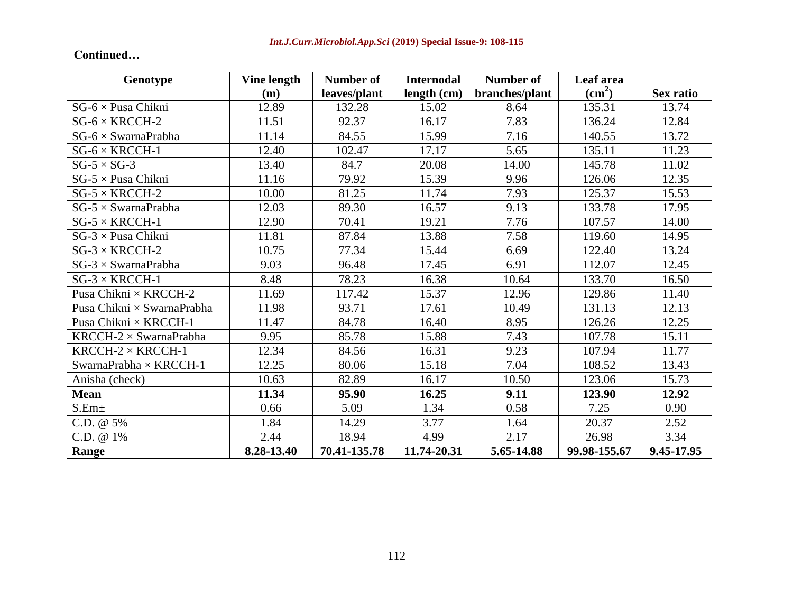**Continued…**

| Genotype                      | <b>Vine length</b> | Number of    | <b>Internodal</b> | Number of      | Leaf area       |            |
|-------------------------------|--------------------|--------------|-------------------|----------------|-----------------|------------|
|                               | (m)                | leaves/plant | length (cm)       | branches/plant | $\text{cm}^2$ ) | Sex ratio  |
| $SG-6 \times P$ usa Chikni    | 12.89              | 132.28       | 15.02             | 8.64           | 135.31          | 13.74      |
| $SG-6 \times KRCCH-2$         | 11.51              | 92.37        | 16.17             | 7.83           | 136.24          | 12.84      |
| $SG-6 \times SwarnaPrabha$    | 11.14              | 84.55        | 15.99             | 7.16           | 140.55          | 13.72      |
| $SG-6 \times KRCCH-1$         | 12.40              | 102.47       | 17.17             | 5.65           | 135.11          | 11.23      |
| $SG-5 \times SG-3$            | 13.40              | 84.7         | 20.08             | 14.00          | 145.78          | 11.02      |
| $SG-5 \times P$ usa Chikni    | 11.16              | 79.92        | 15.39             | 9.96           | 126.06          | 12.35      |
| $SG-5 \times KRCCH-2$         | 10.00              | 81.25        | 11.74             | 7.93           | 125.37          | 15.53      |
| $SG-5 \times SwarnaPrabha$    | 12.03              | 89.30        | 16.57             | 9.13           | 133.78          | 17.95      |
| $SG-5 \times KRCCH-1$         | 12.90              | 70.41        | 19.21             | 7.76           | 107.57          | 14.00      |
| $SG-3 \times P$ usa Chikni    | 11.81              | 87.84        | 13.88             | 7.58           | 119.60          | 14.95      |
| $SG-3 \times KRCCH-2$         | 10.75              | 77.34        | 15.44             | 6.69           | 122.40          | 13.24      |
| $SG-3 \times SwarnaPrabha$    | 9.03               | 96.48        | 17.45             | 6.91           | 112.07          | 12.45      |
| $SG-3 \times KRCCH-1$         | 8.48               | 78.23        | 16.38             | 10.64          | 133.70          | 16.50      |
| Pusa Chikni × KRCCH-2         | 11.69              | 117.42       | 15.37             | 12.96          | 129.86          | 11.40      |
| Pusa Chikni × SwarnaPrabha    | 11.98              | 93.71        | 17.61             | 10.49          | 131.13          | 12.13      |
| Pusa Chikni × KRCCH-1         | 11.47              | 84.78        | 16.40             | 8.95           | 126.26          | 12.25      |
| $KRCCH-2 \times SwarnaPrabha$ | 9.95               | 85.78        | 15.88             | 7.43           | 107.78          | 15.11      |
| $KRCCH-2 \times KRCCH-1$      | 12.34              | 84.56        | 16.31             | 9.23           | 107.94          | 11.77      |
| SwarnaPrabha × KRCCH-1        | 12.25              | 80.06        | 15.18             | 7.04           | 108.52          | 13.43      |
| Anisha (check)                | 10.63              | 82.89        | 16.17             | 10.50          | 123.06          | 15.73      |
| <b>Mean</b>                   | 11.34              | 95.90        | 16.25             | 9.11           | 123.90          | 12.92      |
| S.Em±                         | 0.66               | 5.09         | 1.34              | 0.58           | 7.25            | 0.90       |
| C.D. @ 5%                     | 1.84               | 14.29        | 3.77              | 1.64           | 20.37           | 2.52       |
| C.D. @ 1%                     | 2.44               | 18.94        | 4.99              | 2.17           | 26.98           | 3.34       |
| Range                         | 8.28-13.40         | 70.41-135.78 | 11.74-20.31       | 5.65-14.88     | 99.98-155.67    | 9.45-17.95 |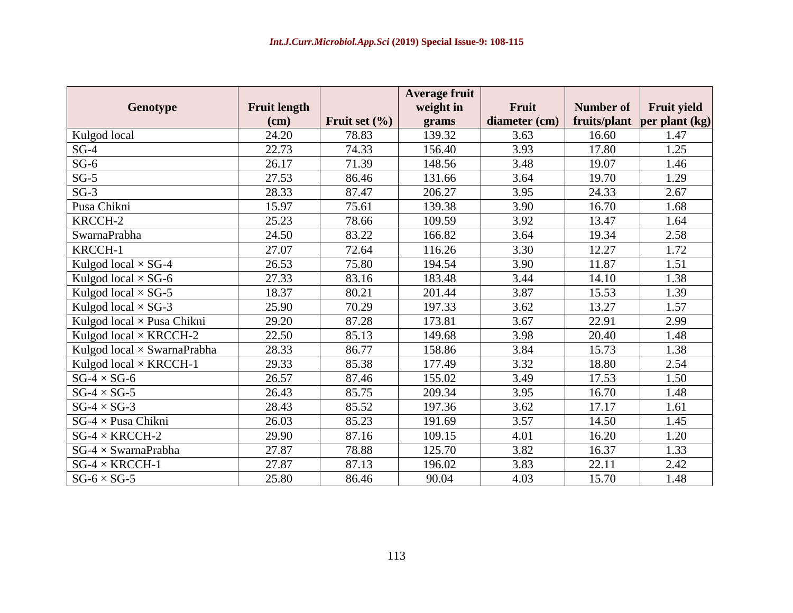|                               |                     |                   | <b>Average fruit</b> |               |                  |                             |
|-------------------------------|---------------------|-------------------|----------------------|---------------|------------------|-----------------------------|
| <b>Genotype</b>               | <b>Fruit length</b> |                   | weight in            | Fruit         | <b>Number</b> of | <b>Fruit yield</b>          |
|                               | $(cm)$              | Fruit set $(\% )$ | grams                | diameter (cm) |                  | fruits/plant per plant (kg) |
| Kulgod local                  | 24.20               | 78.83             | 139.32               | 3.63          | 16.60            | 1.47                        |
| $SG-4$                        | 22.73               | 74.33             | 156.40               | 3.93          | 17.80            | 1.25                        |
| $SG-6$                        | 26.17               | 71.39             | 148.56               | 3.48          | 19.07            | 1.46                        |
| $SG-5$                        | 27.53               | 86.46             | 131.66               | 3.64          | 19.70            | 1.29                        |
| $SG-3$                        | 28.33               | 87.47             | 206.27               | 3.95          | 24.33            | 2.67                        |
| Pusa Chikni                   | 15.97               | 75.61             | 139.38               | 3.90          | 16.70            | 1.68                        |
| KRCCH-2                       | 25.23               | 78.66             | 109.59               | 3.92          | 13.47            | 1.64                        |
| SwarnaPrabha                  | 24.50               | 83.22             | 166.82               | 3.64          | 19.34            | 2.58                        |
| KRCCH-1                       | 27.07               | 72.64             | 116.26               | 3.30          | 12.27            | 1.72                        |
| Kulgod local $\times$ SG-4    | 26.53               | 75.80             | 194.54               | 3.90          | 11.87            | 1.51                        |
| Kulgod local $\times$ SG-6    | 27.33               | 83.16             | 183.48               | 3.44          | 14.10            | 1.38                        |
| Kulgod local $\times$ SG-5    | 18.37               | 80.21             | 201.44               | 3.87          | 15.53            | 1.39                        |
| Kulgod local $\times$ SG-3    | 25.90               | 70.29             | 197.33               | 3.62          | 13.27            | 1.57                        |
| Kulgod local × Pusa Chikni    | 29.20               | 87.28             | 173.81               | 3.67          | 22.91            | 2.99                        |
| Kulgod local $\times$ KRCCH-2 | 22.50               | 85.13             | 149.68               | 3.98          | 20.40            | 1.48                        |
| Kulgod local × SwarnaPrabha   | 28.33               | 86.77             | 158.86               | 3.84          | 15.73            | 1.38                        |
| Kulgod local $\times$ KRCCH-1 | 29.33               | 85.38             | 177.49               | 3.32          | 18.80            | 2.54                        |
| $SG-4 \times SG-6$            | 26.57               | 87.46             | 155.02               | 3.49          | 17.53            | 1.50                        |
| $SG-4 \times SG-5$            | 26.43               | 85.75             | 209.34               | 3.95          | 16.70            | 1.48                        |
| $SG-4 \times SG-3$            | 28.43               | 85.52             | 197.36               | 3.62          | 17.17            | 1.61                        |
| $SG-4 \times P$ usa Chikni    | 26.03               | 85.23             | 191.69               | 3.57          | 14.50            | 1.45                        |
| $SG-4 \times KRCCH-2$         | 29.90               | 87.16             | 109.15               | 4.01          | 16.20            | 1.20                        |
| $SG-4 \times SwarnaPrabha$    | 27.87               | 78.88             | 125.70               | 3.82          | 16.37            | 1.33                        |
| $SG-4 \times KRCCH-1$         | 27.87               | 87.13             | 196.02               | 3.83          | 22.11            | 2.42                        |
| $SG-6 \times SG-5$            | 25.80               | 86.46             | 90.04                | 4.03          | 15.70            | 1.48                        |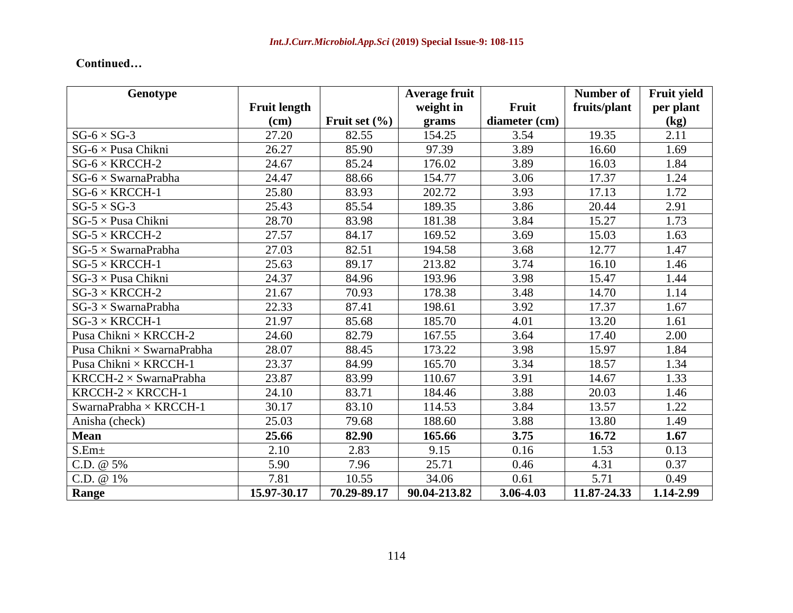**Continued…**

| Genotype                      |                     |                   | <b>Average fruit</b> |               | <b>Number of</b> | <b>Fruit yield</b> |
|-------------------------------|---------------------|-------------------|----------------------|---------------|------------------|--------------------|
|                               | <b>Fruit length</b> |                   | weight in            | Fruit         | fruits/plant     | per plant          |
|                               | (cm)                | Fruit set $(\% )$ | grams                | diameter (cm) |                  | (kg)               |
| $SG-6 \times SG-3$            | 27.20               | 82.55             | 154.25               | 3.54          | 19.35            | 2.11               |
| $SG-6 \times P$ usa Chikni    | 26.27               | 85.90             | 97.39                | 3.89          | 16.60            | 1.69               |
| $SG-6 \times KRCCH-2$         | 24.67               | 85.24             | 176.02               | 3.89          | 16.03            | 1.84               |
| $SG-6 \times SwarnaPrabha$    | 24.47               | 88.66             | 154.77               | 3.06          | 17.37            | 1.24               |
| $SG-6 \times KRCCH-1$         | 25.80               | 83.93             | 202.72               | 3.93          | 17.13            | 1.72               |
| $SG-5 \times SG-3$            | 25.43               | 85.54             | 189.35               | 3.86          | 20.44            | 2.91               |
| $SG-5 \times P$ usa Chikni    | 28.70               | 83.98             | 181.38               | 3.84          | 15.27            | 1.73               |
| $SG-5 \times KRCCH-2$         | 27.57               | 84.17             | 169.52               | 3.69          | 15.03            | 1.63               |
| $SG-5 \times SwarnaPrabha$    | 27.03               | 82.51             | 194.58               | 3.68          | 12.77            | 1.47               |
| $SG-5 \times KRCCH-1$         | 25.63               | 89.17             | 213.82               | 3.74          | 16.10            | 1.46               |
| $SG-3 \times P$ usa Chikni    | 24.37               | 84.96             | 193.96               | 3.98          | 15.47            | 1.44               |
| $SG-3 \times KRCCH-2$         | 21.67               | 70.93             | 178.38               | 3.48          | 14.70            | 1.14               |
| $SG-3 \times SwarnaPrabha$    | 22.33               | 87.41             | 198.61               | 3.92          | 17.37            | 1.67               |
| $SG-3 \times KRCCH-1$         | 21.97               | 85.68             | 185.70               | 4.01          | 13.20            | 1.61               |
| Pusa Chikni × KRCCH-2         | 24.60               | 82.79             | 167.55               | 3.64          | 17.40            | 2.00               |
| Pusa Chikni × SwarnaPrabha    | 28.07               | 88.45             | 173.22               | 3.98          | 15.97            | 1.84               |
| Pusa Chikni × KRCCH-1         | 23.37               | 84.99             | 165.70               | 3.34          | 18.57            | 1.34               |
| $KRCCH-2 \times SwarnaPrabha$ | 23.87               | 83.99             | 110.67               | 3.91          | 14.67            | 1.33               |
| $KRCCH-2 \times KRCCH-1$      | 24.10               | 83.71             | 184.46               | 3.88          | 20.03            | 1.46               |
| SwarnaPrabha × KRCCH-1        | 30.17               | 83.10             | 114.53               | 3.84          | 13.57            | 1.22               |
| Anisha (check)                | 25.03               | 79.68             | 188.60               | 3.88          | 13.80            | 1.49               |
| <b>Mean</b>                   | 25.66               | 82.90             | 165.66               | 3.75          | 16.72            | 1.67               |
| S.Em <sub>±</sub>             | 2.10                | 2.83              | 9.15                 | 0.16          | 1.53             | 0.13               |
| C.D. @ 5%                     | 5.90                | 7.96              | 25.71                | 0.46          | 4.31             | 0.37               |
| C.D. @ 1%                     | 7.81                | 10.55             | 34.06                | 0.61          | 5.71             | 0.49               |
| Range                         | 15.97-30.17         | 70.29-89.17       | 90.04-213.82         | 3.06-4.03     | 11.87-24.33      | 1.14-2.99          |